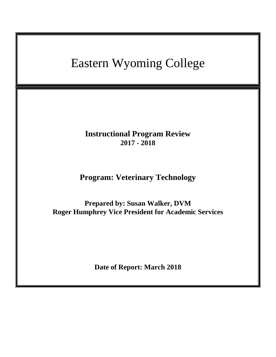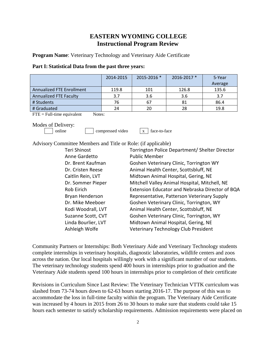# **EASTERN WYOMING COLLEGE Instructional Program Review**

**Program Name**: Veterinary Technology and Veterinary Aide Certificate

| Part I: Statistical Data from the past three years: |  |
|-----------------------------------------------------|--|
|-----------------------------------------------------|--|

|                               | 2014-2015 | 2015-2016 * | 2016-2017 * | 5-Year<br>Average |
|-------------------------------|-----------|-------------|-------------|-------------------|
| Annualized FTE Enrollment     | 119.8     | 101         | 126.8       | 135.6             |
| <b>Annualized FTE Faculty</b> | 3.7       | 3.6         | 3.6         | 3.7               |
| # Students                    | 76        | 67          | 81          | 86.4              |
| # Graduated                   | 24        | 20          | 28          | 19.8              |

 $\text{FTE} = \text{Full-time equivalent}$  Notes:

Modes of Delivery:

online compressed video x face-to-face

Advisory Committee Members and Title or Role: (if applicable)

| Torrington Police Department/ Shelter Director  |
|-------------------------------------------------|
| <b>Public Member</b>                            |
| Goshen Veterinary Clinic, Torrington WY         |
| Animal Health Center, Scottsbluff, NE           |
| Midtown Animal Hospital, Gering, NE             |
| Mitchell Valley Animal Hospital, Mitchell, NE   |
| Extension Educator and Nebraska Director of BQA |
| Representative, Patterson Veterinary Supply     |
| Goshen Veterinary Clinic, Torrington, WY        |
| Animal Health Center, Scottsbluff, NE           |
| Goshen Veterinary Clinic, Torrington, WY        |
| Midtown Animal Hospital, Gering, NE             |
| Veterinary Technology Club President            |
|                                                 |

Community Partners or Internships: Both Veterinary Aide and Veterinary Technology students complete internships in veterinary hospitals, diagnostic laboratories, wildlife centers and zoos across the nation. Our local hospitals willingly work with a significant number of our students. The veterinary technology students spend 400 hours in internships prior to graduation and the Veterinary Aide students spend 100 hours in internships prior to completion of their certificate

Revisions in Curriculum Since Last Review: The Veterinary Technician VTTK curriculum was slashed from 73-74 hours down to 62-63 hours starting 2016-17. The purpose of this was to accommodate the loss in full-time faculty within the program. The Veterinary Aide Cerrificate was increased by 4 hours in 2015 from 26 to 30 hours to make sure that students could take 15 hours each semester to satisfy scholarship requirements. Admission requirements were placed on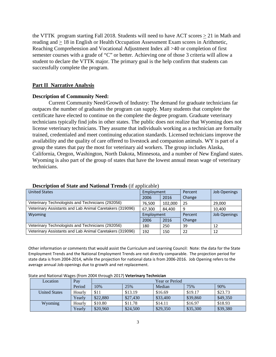the VTTK program starting Fall 2018. Students will need to have ACT scores  $\geq$  21 in Math and reading and  $\geq 18$  in English or Health Occupation Assessment Exam scores in Arithmetic, Reaching Comprehension and Vocational Adjustment Index all >40 or completion of first semester courses with a grade of "C" or better. Achieving one of those 3 criteria will allow a student to declare the VTTK major. The primary goal is the help confirm that students can successfully complete the program.

### **Part II Narrative Analysis**

#### **Description of Community Need:**

Current Community Need/Growth of Industry: The demand for graduate technicians far outpaces the number of graduates the program can supply. Many students that complete the certificate have elected to continue on the complete the degree program. Graduate veterinary technicians typically find jobs in other states. The public does not realize that Wyoming does not license veterinary technicians. They assume that individuals working as a technician are formally trained, credentialed and meet continuing education standards. Licensed technicians improve the availability and the quality of care offered to livestock and companion animals. WY is part of a group the states that pay the most for veterinary aid workers. The group includes Alaska, California, Oregon, Washington, North Dakota, Minnesota, and a number of New England states. Wyoming is also part of the group of states that have the lowest annual mean wage of veterinary technicians.

| <b>United States</b>                                     | Employment |         | Percent | <b>Job Openings</b> |
|----------------------------------------------------------|------------|---------|---------|---------------------|
|                                                          | 2006       | 2016    | Change  |                     |
| Veterinary Technologists and Technicians (292056)        | 76.500     | 102,000 | 25      | 29,000              |
| Veterinary Assistants and Lab Animal Caretakers (319096) | 67,300     | 84,400  | 9       | 10.400              |
| Wyoming                                                  | Employment |         | Percent | <b>Job Openings</b> |
|                                                          | 2006       | 2016    | Change  |                     |
| Veterinary Technologists and Technicians (292056)        | 180        | 250     | 39      | 12                  |
| Veterinary Assistants and Lab Animal Caretakers (319096) | 192        | 150     | 22      | 12                  |

#### **Description of State and National Trends** (if applicable)

Other information or comments that would assist the Curriculum and Learning Council: Note: the data for the State Employment Trends and the National Employment Trends are not directly comparable. The projection period for state data is from 2004-2014, while the projection for national data is from 2006-2016. Job Opening refers to the average annual Job openings due to growth and net replacement.

| Location             | Pay    | Year or Period |          |          |          |          |
|----------------------|--------|----------------|----------|----------|----------|----------|
|                      | Period | 10%            | 25%      | Median   | 75%      | 90%      |
| <b>United States</b> | Hourly | \$11           | \$13.19  | \$16.69  | \$19.17  | \$23.73  |
|                      | Yearlv | \$22,880       | \$27,430 | \$33,400 | \$39,860 | \$49,350 |
| Wyoming              | Hourly | \$10.80        | \$11.78  | \$14.11  | \$16.97  | \$18.93  |
|                      | Yearly | \$20,960       | \$24,500 | \$29,350 | \$35,300 | \$39,380 |

State and National Wages (from 2004 through 2017) **Veterinary Technician**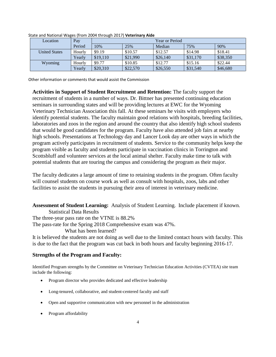| Location             | Pay    | Year or Period |          |          |          |          |
|----------------------|--------|----------------|----------|----------|----------|----------|
|                      | Period | 10%            | 25%      | Median   | 75%      | 90%      |
| <b>United States</b> | Hourly | \$9.19         | \$10.57  | \$12.57  | \$14.98  | \$18.41  |
|                      | Yearly | \$19,110       | \$21,990 | \$26,140 | \$31,170 | \$38,350 |
| Wyoming              | Hourly | \$9.77         | \$10.85  | \$12.77  | \$15.16  | \$22.44  |
|                      | Yearly | \$20,310       | \$22,570 | \$26,550 | \$31,540 | \$46,680 |

State and National Wages (from 2004 through 2017) **Veterinary Aide**

Other information or comments that would assist the Commission

**Activities in Support of Student Recruitment and Retention:** The faculty support the recruitment of students in a number of ways. Dr. Bittner has presented continuing education seminars in surrounding states and will be providing lectures at EWC for the Wyoming Veterinary Technician Association this fall. At these seminars he visits with employers who identify potential students. The faculty maintain good relations with hospitals, breeding facilities, laboratories and zoos in the region and around the country that also identify high school students that would be good candidates for the program. Faculty have also attended job fairs at nearby high schools. Presentations at Technology day and Lancer Look day are other ways in which the program actively participates in recruitment of students. Service to the community helps keep the program visible as faculty and students participate in vaccination clinics in Torrington and Scottsbluff and volunteer services at the local animal shelter. Faculty make time to talk with potential students that are touring the campus and considering the program as their major.

The faculty dedicates a large amount of time to retaining students in the program. Often faculty will counsel students on course work as well as consult with hospitals, zoos, labs and other facilities to assist the students in pursuing their area of interest in veterinary medicine.

**Assessment of Student Learning:** Analysis of Student Learning. Include placement if known.

Statistical Data Results The three-year pass rate on the VTNE is 88.2% The pass-rate for the Spring 2018 Comprehensive exam was 47%. What has been learned?

It is believed the students are not doing as well due to the limited contact hours with faculty. This is due to the fact that the program was cut back in both hours and faculty beginning 2016-17.

# **Strengths of the Program and Faculty:**

Identified Program strengths by the Committee on Veterinary Technician Education Activities (CVTEA) site team include the following:

- Program director who provides dedicated and effective leadership
- Long-tenured, collaborative, and student-centered faculty and staff
- Open and supportive communication with new personnel in the administration
- Program affordability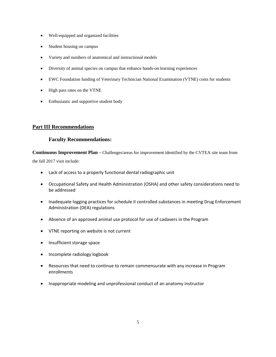- Well-equipped and organized facilities
- Student housing on campus
- Variety and numbers of anatomical and instructional models
- Diversity of animal species on campus that enhance hands-on learning experiences
- EWC Foundation funding of Veterinary Technician National Examination (VTNE) costs for students
- High pass rates on the VTNE
- Enthusiastic and supportive student body

## **Part III Recommendations**

### **Faculty Recommendations:**

**Continuous Improvement Plan** - Challenges/areas for improvement identified by the CVTEA site team from the fall 2017 visit include:

• Lack of access to a properly functional dental radiographic unit

- Occupational Safety and Health Administration (OSHA) and other safety considerations need to be addressed
- Inadequate logging practices for schedule II controlled substances in meeting Drug Enforcement Administration (DEA) regulations
- Absence of an approved animal use protocol for use of cadavers in the Program
- VTNE reporting on website is not current
- Insufficient storage space
- Incomplete radiology logbook
- Resources that need to continue to remain commensurate with any increase in Program enrollments
- Inappropriate modeling and unprofessional conduct of an anatomy instructor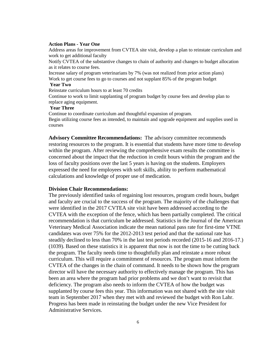#### **Action Plans - Year One**

Address areas for improvement from CVTEA site visit, develop a plan to reinstate curriculum and work to get additional faculty

Notify CVTEA of the substantive changes to chain of authority and changes to budget allocation as it relates to course fees.

Increase salary of program veterinarians by 7% (was not realized from prior action plans) Work to get course fees to go to courses and not supplant 85% of the program budget

#### **Year Two**

Reinstate curriculum hours to at least 70 credits

Continue to work to limit supplanting of program budget by course fees and develop plan to replace aging equipment.

### **Year Three**

Continue to coordinate curriculum and thoughtful expansion of program. Begin utilizing course fees as intended, to maintain and upgrade equipment and supplies used in courses

**Advisory Committee Recommendations:** The advisory committee recommends restoring resources to the program. It is essential that students have more time to develop within the program. After reviewing the comprehensive exam results the committee is concerned about the impact that the reduction in credit hours within the program and the loss of faculty positions over the last 5 years is having on the students. Employers expressed the need for employees with soft skills, ability to perform mathematical calculations and knowledge of proper use of medication.

#### **Division Chair Recommendations:**

The previously identified tasks of regaining lost resources, program credit hours, budget and faculty are crucial to the success of the program. The majority of the challenges that were identified in the 2017 CVTEA site visit have been addressed according to the CVTEA with the exception of the fence, which has been partially completed. The critical recommendation is that curriculum be addressed. Statistics in the Journal of the American Veterinary Medical Association indicate the mean national pass rate for first-time VTNE candidates was over 75% for the 2012-2013 test period and that the national rate has steadily declined to less than 70% in the last test periods recorded (2015-16 and 2016-17.) (1039). Based on these statistics it is apparent that now is not the time to be cutting back the program. The faculty needs time to thoughtfully plan and reinstate a more robust curriculum. This will require a commitment of resources. The program must inform the CVTEA of the changes in the chain of command. It needs to be shown how the program director will have the necessary authority to effectively manage the program. This has been an area where the program had prior problems and we don't want to revisit that deficiency. The program also needs to inform the CVTEA of how the budget was supplanted by course fees this year. This information was not shared with the site visit team in September 2017 when they met with and reviewed the budget with Ron Lahr. Progress has been made in reinstating the budget under the new Vice President for Administrative Services.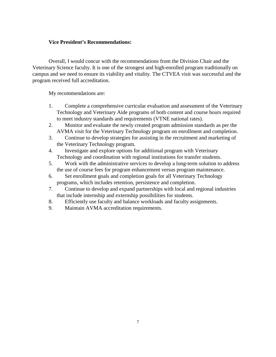# **Vice President's Recommendations:**

Overall, I would concur with the recommendations from the Division Chair and the Veterinary Science faculty. It is one of the strongest and high-enrolled program traditionally on campus and we need to ensure its viability and vitality. The CTVEA visit was successful and the program received full accreditation.

My recommendations are:

- 1. Complete a comprehensive curricular evaluation and assessment of the Veterinary Technology and Veterinary Aide programs of both content and course hours required to meet industry standards and requirements (VTNE national rates).
- 2. Monitor and evaluate the newly created program admission standards as per the AVMA visit for the Veterinary Technology program on enrollment and completion.
- 3. Continue to develop strategies for assisting in the recruitment and marketing of the Veterinary Technology program.
- 4. Investigate and explore options for additional program with Veterinary Technology and coordination with regional institutions for transfer students.
- 5. Work with the administrative services to develop a long-term solution to address the use of course fees for program enhancement versus program maintenance.
- 6. Set enrollment goals and completion goals for all Veterinary Technology programs, which includes retention, persistence and completion.
- 7. Continue to develop and expand partnerships with local and regional industries that include internship and externship possibilities for students.
- 8. Efficiently use faculty and balance workloads and faculty assignments.
- 9. Maintain AVMA accreditation requirements.